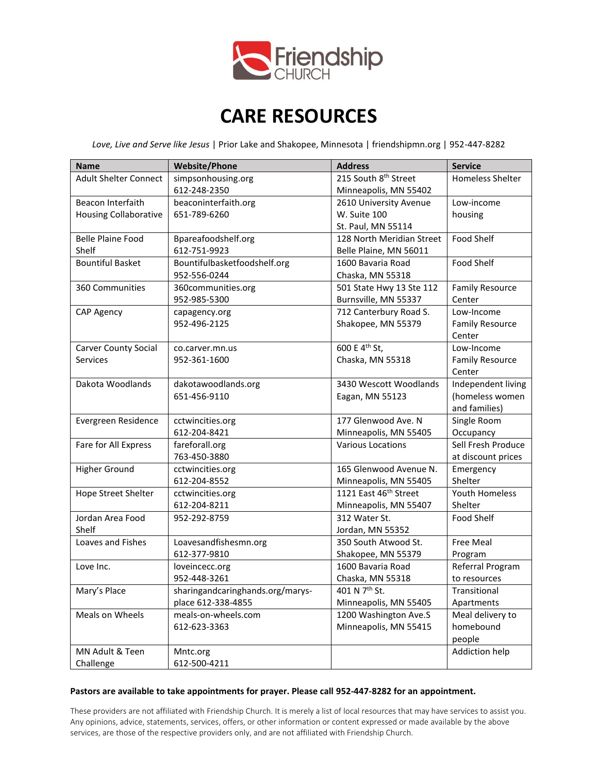

# **CARE RESOURCES**

*Love, Live and Serve like Jesus* | Prior Lake and Shakopee, Minnesota | friendshipmn.org | 952-447-8282

| <b>Name</b>                  | <b>Website/Phone</b>             | <b>Address</b>                    | <b>Service</b>          |
|------------------------------|----------------------------------|-----------------------------------|-------------------------|
| <b>Adult Shelter Connect</b> | simpsonhousing.org               | 215 South 8 <sup>th</sup> Street  | <b>Homeless Shelter</b> |
|                              | 612-248-2350                     | Minneapolis, MN 55402             |                         |
| Beacon Interfaith            | beaconinterfaith.org             | 2610 University Avenue            | Low-income              |
| <b>Housing Collaborative</b> | 651-789-6260                     | W. Suite 100                      | housing                 |
|                              |                                  | St. Paul, MN 55114                |                         |
| <b>Belle Plaine Food</b>     | Bpareafoodshelf.org              | 128 North Meridian Street         | Food Shelf              |
| Shelf                        | 612-751-9923                     | Belle Plaine, MN 56011            |                         |
| <b>Bountiful Basket</b>      | Bountifulbasketfoodshelf.org     | 1600 Bavaria Road                 | <b>Food Shelf</b>       |
|                              | 952-556-0244                     | Chaska, MN 55318                  |                         |
| 360 Communities              | 360communities.org               | 501 State Hwy 13 Ste 112          | <b>Family Resource</b>  |
|                              | 952-985-5300                     | Burnsville, MN 55337              | Center                  |
| <b>CAP Agency</b>            | capagency.org                    | 712 Canterbury Road S.            | Low-Income              |
|                              | 952-496-2125                     | Shakopee, MN 55379                | <b>Family Resource</b>  |
|                              |                                  |                                   | Center                  |
| <b>Carver County Social</b>  | co.carver.mn.us                  | 600 E 4 <sup>th</sup> St,         | Low-Income              |
| <b>Services</b>              | 952-361-1600                     | Chaska, MN 55318                  | <b>Family Resource</b>  |
|                              |                                  |                                   | Center                  |
| Dakota Woodlands             | dakotawoodlands.org              | 3430 Wescott Woodlands            | Independent living      |
|                              | 651-456-9110                     | Eagan, MN 55123                   | (homeless women         |
|                              |                                  |                                   | and families)           |
| Evergreen Residence          | cctwincities.org                 | 177 Glenwood Ave. N               | Single Room             |
|                              | 612-204-8421                     | Minneapolis, MN 55405             | Occupancy               |
| Fare for All Express         | fareforall.org                   | <b>Various Locations</b>          | Sell Fresh Produce      |
|                              | 763-450-3880                     |                                   | at discount prices      |
| <b>Higher Ground</b>         | cctwincities.org                 | 165 Glenwood Avenue N.            | Emergency               |
|                              | 612-204-8552                     | Minneapolis, MN 55405             | Shelter                 |
| Hope Street Shelter          | cctwincities.org                 | 1121 East 46 <sup>th</sup> Street | <b>Youth Homeless</b>   |
|                              | 612-204-8211                     | Minneapolis, MN 55407             | Shelter                 |
| Jordan Area Food             | 952-292-8759                     | 312 Water St.                     | Food Shelf              |
| Shelf                        |                                  | Jordan, MN 55352                  |                         |
| Loaves and Fishes            | Loavesandfishesmn.org            | 350 South Atwood St.              | Free Meal               |
|                              | 612-377-9810                     | Shakopee, MN 55379                | Program                 |
| Love Inc.                    | loveincecc.org                   | 1600 Bavaria Road                 | Referral Program        |
|                              | 952-448-3261                     | Chaska, MN 55318                  | to resources            |
| Mary's Place                 | sharingandcaringhands.org/marys- | 401 N 7 <sup>th</sup> St.         | Transitional            |
|                              | place 612-338-4855               | Minneapolis, MN 55405             | Apartments              |
| Meals on Wheels              | meals-on-wheels.com              | 1200 Washington Ave.S             | Meal delivery to        |
|                              | 612-623-3363                     | Minneapolis, MN 55415             | homebound               |
|                              |                                  |                                   | people                  |
| MN Adult & Teen              | Mntc.org                         |                                   | Addiction help          |
| Challenge                    | 612-500-4211                     |                                   |                         |

### **Pastors are available to take appointments for prayer. Please call 952-447-8282 for an appointment.**

These providers are not affiliated with Friendship Church. It is merely a list of local resources that may have services to assist you. Any opinions, advice, statements, services, offers, or other information or content expressed or made available by the above services, are those of the respective providers only, and are not affiliated with Friendship Church.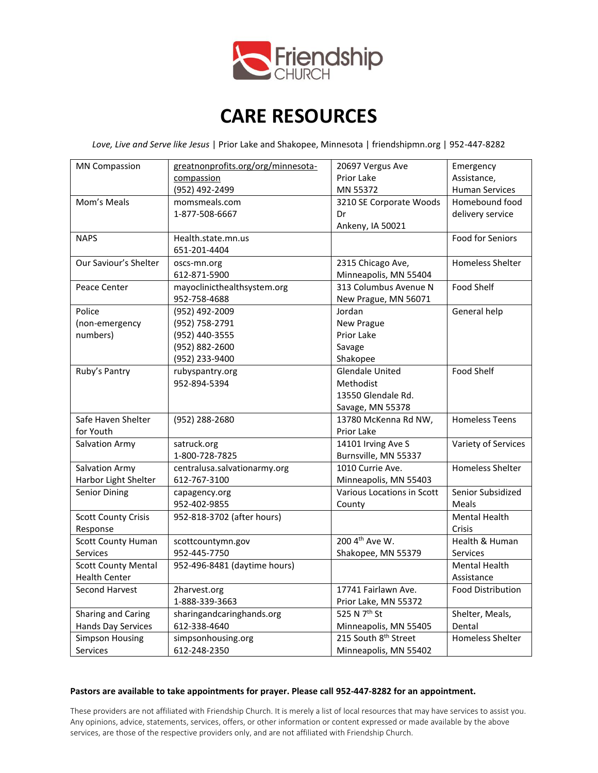

# **CARE RESOURCES**

*Love, Live and Serve like Jesus* | Prior Lake and Shakopee, Minnesota | friendshipmn.org | 952-447-8282

| <b>MN Compassion</b>       | greatnonprofits.org/org/minnesota- | 20697 Vergus Ave                 | Emergency                |
|----------------------------|------------------------------------|----------------------------------|--------------------------|
|                            | compassion                         | Prior Lake                       | Assistance,              |
|                            | (952) 492-2499                     | MN 55372                         | <b>Human Services</b>    |
| Mom's Meals                | momsmeals.com                      | 3210 SE Corporate Woods          | Homebound food           |
|                            | 1-877-508-6667                     | Dr                               | delivery service         |
|                            |                                    | Ankeny, IA 50021                 |                          |
| <b>NAPS</b>                | Health.state.mn.us                 |                                  | <b>Food for Seniors</b>  |
|                            | 651-201-4404                       |                                  |                          |
| Our Saviour's Shelter      | oscs-mn.org                        | 2315 Chicago Ave,                | <b>Homeless Shelter</b>  |
|                            | 612-871-5900                       | Minneapolis, MN 55404            |                          |
| Peace Center               | mayoclinicthealthsystem.org        | 313 Columbus Avenue N            | Food Shelf               |
|                            | 952-758-4688                       | New Prague, MN 56071             |                          |
| Police                     | (952) 492-2009                     | Jordan                           | General help             |
| (non-emergency             | (952) 758-2791                     | New Prague                       |                          |
| numbers)                   | (952) 440-3555                     | Prior Lake                       |                          |
|                            | (952) 882-2600                     | Savage                           |                          |
|                            | (952) 233-9400                     | Shakopee                         |                          |
| Ruby's Pantry              | rubyspantry.org                    | <b>Glendale United</b>           | <b>Food Shelf</b>        |
|                            | 952-894-5394                       | Methodist                        |                          |
|                            |                                    | 13550 Glendale Rd.               |                          |
|                            |                                    | Savage, MN 55378                 |                          |
| Safe Haven Shelter         | (952) 288-2680                     | 13780 McKenna Rd NW,             | <b>Homeless Teens</b>    |
| for Youth                  |                                    | Prior Lake                       |                          |
| Salvation Army             | satruck.org                        | 14101 Irving Ave S               | Variety of Services      |
|                            | 1-800-728-7825                     | Burnsville, MN 55337             |                          |
| Salvation Army             | centralusa.salvationarmy.org       | 1010 Currie Ave.                 | <b>Homeless Shelter</b>  |
| Harbor Light Shelter       | 612-767-3100                       | Minneapolis, MN 55403            |                          |
| Senior Dining              | capagency.org                      | Various Locations in Scott       | Senior Subsidized        |
|                            | 952-402-9855                       | County                           | Meals                    |
| <b>Scott County Crisis</b> | 952-818-3702 (after hours)         |                                  | <b>Mental Health</b>     |
| Response                   |                                    |                                  | Crisis                   |
| Scott County Human         | scottcountymn.gov                  | 200 4th Ave W.                   | Health & Human           |
| <b>Services</b>            | 952-445-7750                       | Shakopee, MN 55379               | Services                 |
| <b>Scott County Mental</b> | 952-496-8481 (daytime hours)       |                                  | <b>Mental Health</b>     |
| <b>Health Center</b>       |                                    |                                  | Assistance               |
| Second Harvest             | 2harvest.org                       | 17741 Fairlawn Ave.              | <b>Food Distribution</b> |
|                            | 1-888-339-3663                     | Prior Lake, MN 55372             |                          |
| Sharing and Caring         | sharingandcaringhands.org          | 525 N 7 <sup>th</sup> St         | Shelter, Meals,          |
| Hands Day Services         | 612-338-4640                       | Minneapolis, MN 55405            | Dental                   |
| <b>Simpson Housing</b>     | simpsonhousing.org                 | 215 South 8 <sup>th</sup> Street | <b>Homeless Shelter</b>  |
| Services                   | 612-248-2350                       | Minneapolis, MN 55402            |                          |

#### **Pastors are available to take appointments for prayer. Please call 952-447-8282 for an appointment.**

These providers are not affiliated with Friendship Church. It is merely a list of local resources that may have services to assist you. Any opinions, advice, statements, services, offers, or other information or content expressed or made available by the above services, are those of the respective providers only, and are not affiliated with Friendship Church.